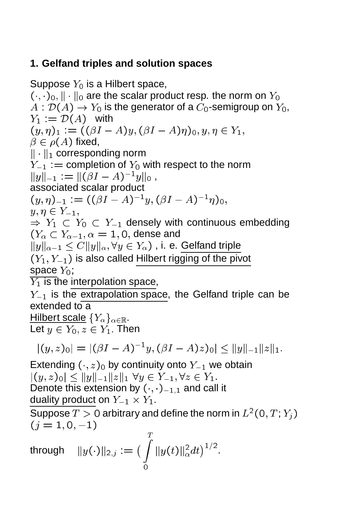# **1. Gelfand triples and solution spaces**

Suppose  $Y_0$  is a Hilbert space,  $(\cdot, \cdot)_0$ ,  $\|\cdot\|_0$  are the scalar product resp. the norm on  $Y_0$  $A: \mathcal{D}(A) \to Y_0$  is the generator of a  $C_0$ -semigroup on  $Y_0$ ,  $Y_1 := \mathcal{D}(A)$  with  $(y, \eta)_1 := ((\beta I - A)y, (\beta I - A)\eta)_0, y, \eta \in Y_1,$  $\beta \in \rho(A)$  fixed,  $\|\cdot\|_1$  corresponding norm  $Y_{-1}$  :  $=$  completion of  $Y_0$  with respect to the norm  $||y||_{-1} := ||(\beta I - A)^{-1}y||_0,$ associated scalar product  $(y, \eta)_{-1} := ((\rho_1 - A)^{-1}y, (\rho_1 - A)^{-1}\eta)_{0},$  $y, \eta \in Y_{-1},$  $\Rightarrow Y_1 \subset Y_0 \subset Y_{-1}$  densely with continuous embedding  $(Y_{\alpha} \subset Y_{\alpha-1}, \alpha = 1, 0,$  dense and  $||y||_{\alpha-1} \leq C||y||_{\alpha}, \forall y \in Y_{\alpha}$ , i. e. Gelfand triple  $(Y_1, Y_{-1})$  is also called Hilbert rigging of the pivot space  $Y_0$ ;  $\overline{Y_1}$  is the interpolation space,  $Y_{-1}$  is the extrapolation space, the Gelfand triple can be extended to a Hilbert scale  ${Y_\alpha}_{\alpha\in\mathbb{R}}$ . Let  $y \in Y_0, z \in Y_1$ . Then  $|(y, z)_0| \equiv |(pI - A)^{-1}y, (pI - A)z\rangle_0| \leq ||y|| - 1||z||_1.$ Extending  $(\cdot, z)_0$  by continuity onto  $Y_{-1}$  we obtain  $|(y, z)_0| < ||y||_{-1}||z||_1 \,\forall y \in Y_{-1}, \forall z \in Y_1.$ Denote this extension by  $(\cdot, \cdot)_{-1,1}$  and call it duality product on  $Y_{-1} \times Y_1$ .

Suppose  $T>0$  arbitrary and define the norm in  $L^2(0,T;Y_j)$  $(i = 1, 0, -1)$ 

through 
$$
||y(\cdot)||_{2,j} := \left(\int_{0}^{T} ||y(t)||_{\alpha}^{2} dt\right)^{1/2}
$$
.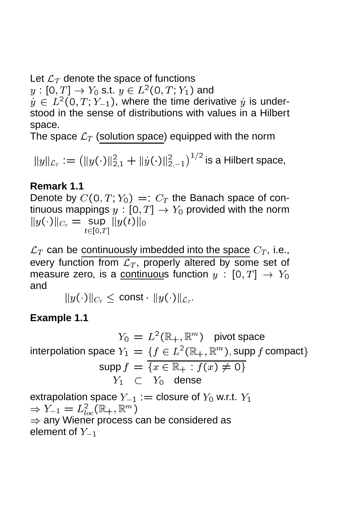Let  $\mathcal{L}_{\mathcal{T}}$  denote the space of functions

 $y:[\mathsf{0},T]\to Y_0$  s.t.  $y\in L^2(\mathsf{0},T;Y_1)$  and

 $y \in L^2(0,T;Y_{-1})$ , where the time derivative  $y$  is understood in the sense of distributions with values in a Hilbert space.

The space  $\mathcal{L}_T$  (solution space) equipped with the norm

 $||y||_{\mathcal{L}_T} := (||y(\cdot)||_{2,1}^2 + ||y(\cdot)||_2^2)$ <u>2</u>, 2  $1/2$  is a Hilbert space,

### **Remark 1.1**

Denote by  $C(0,T; Y_0) =: C_T$  the Banach space of continuous mappings  $y : [0, T] \rightarrow Y_0$  provided with the norm  $\|y(\cdot)\|_{C_T} = \sup_{t\in[0,T]}\|y(\iota)\|_0$ 

 $\mathcal{L}_T$  can be continuously imbedded into the space  $C_T$ , i.e., every function from  $\mathcal{L}_T$ , properly altered by some set of measure zero, is a continuous function  $y : [0, T] \rightarrow Y_0$ and

 $\|y(\cdot)\|_{C_T}\leq \, \mathsf{const} \cdot \, \|y(\cdot)\|_{\mathcal{L}_T}.$ 

### **Example 1.1**

 $Y_0 = L^2(\mathbb{R}_+, \mathbb{R}^m)$  pivot space interpolation space  $Y_1 = \{f \in L^2(\mathbb{R}_+, \mathbb{R}^m)$ , supp f compact}  $\text{supp } f = \overline{\{x \in \mathbb{R}_+ : f(x) \neq 0\}}$  $Y_1 \subset Y_0$  dense

extrapolation space  $Y_{-1} :=$  closure of  $Y_0$  w.r.t.  $Y_1$  $\Rightarrow Y_{-1} = L^2_{loc}(\mathbb{R}_+, \mathbb{R}^m)$  $\Rightarrow$  any Wiener process can be considered as element of  $Y_{-1}$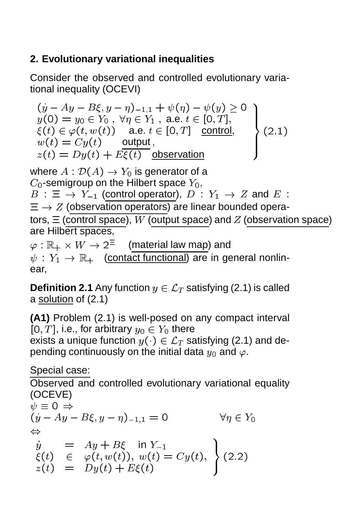# **2. Evolutionary variational inequalities**

Consider the observed and controlled evolutionary variational inequality (OCEVI)

$$
(y - Ay - B\xi, y - \eta)_{-1,1} + \psi(\eta) - \psi(y) \ge 0
$$
  
y(0) = y<sub>0</sub>  $\in$  Y<sub>0</sub>,  $\forall \eta \in Y_1$ , a.e.  $t \in [0, T]$ ,  
 $\xi(t) \in \varphi(t, w(t))$  a.e.  $t \in [0, T]$  control,  
 $w(t) = Cy(t)$  output,  
 $z(t) = Dy(t) + E\xi(t)$  observation (2.1)

where  $A: \mathcal{D}(A) \rightarrow Y_0$  is generator of a  $C_0$ -semigroup on the Hilbert space  $Y_0$ ,  $B : \Xi \to Y_{-1}$  (control operator),  $D : Y_1 \to Z$  and  $E :$  $\Xi \rightarrow Z$  (observation operators) are linear bounded operators,  $\Xi$  (control space), W (output space) and Z (observation space) are Hilbert spaces,  $\varphi: \mathbb{R}_+ \times W \to 2^{\Xi^-} \quad$  (material law map) and

 $\psi: Y_1 \to \mathbb{R}_+$  (contact functional) are in general nonlinear,

**Definition 2.1** Any function  $y \in \mathcal{L}_T$  satisfying (2.1) is called a solution of (2.1)

**(A1)** Problem (2.1) is well-posed on any compact interval [0, T], i.e., for arbitrary  $y_0 \in Y_0$  there exists a unique function  $y(\cdot) \in \mathcal{L}_T$  satisfying (2.1) and depending continuously on the initial data  $y_0$  and  $\varphi$ .

Special case:

Observed and controlled evolutionary variational equality (OCEVE)  $\psi \equiv 0 \Rightarrow$  $\sqrt{y}$   $-\frac{y}{y}$   $-\frac{y}{y}$   $\frac{y}{y}$   $1,1$ 

,

$$
\begin{array}{rcl}\n\dot{y} & = & Ay + B\xi \quad \text{in } Y_{-1} \\
\xi(t) & \in & \varphi(t, w(t)), \ w(t) = Cy(t), \\
z(t) & = & Dy(t) + E\xi(t)\n\end{array}\n\bigg\} \tag{2.2}
$$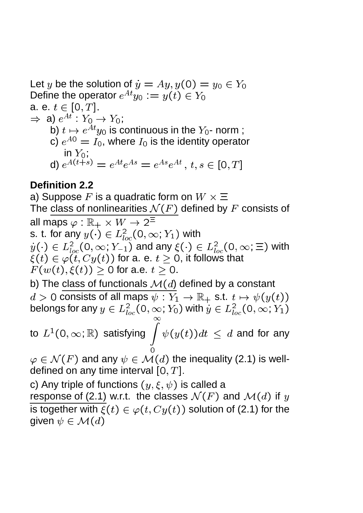Let y be the solution of  $\dot{y} = Ay, y(0) = y_0 \in Y_0$ Define the operator  $e^{At}y_0 := y(t) \in Y_0$ a. e.  $t \in [0, T]$ .  $\Rightarrow$  a)  $e^{At}$  :  $Y_0 \rightarrow Y_0$ ; b)  $t \mapsto e^{At}y_0$  is continuous in the  $Y_0$ - norm ; c)  $e^{A0} = I_0$ , where  $I_0$  is the identity operator in  $Y_0$ ; d)  $e^{A(t+s)}=e^{At}e^{As}=e^{As}e^{At}\,,\,t,s\in[0,T]$ 

#### **Definition 2.2**

a) Suppose  $F$  is a quadratic form on  $W\times \Xi$ The class of nonlinearities  $\mathcal{N}(F)$  defined by F consists of all maps  $\varphi : \mathbb{R}_+ \times W \to 2^{\Xi}$ s. t. for any  $y(\cdot)\in L^2_{loc}(0,\infty;Y_1)$  with  $y(\cdot)\in L^2_{loc}(0,\infty;Y_{-1})$  and any  $\xi(\cdot)\in L^2_{loc}(0,\infty;\Xi)$  with  $\xi(t) \in \varphi(t, Cy(t))$  for a. e.  $t > 0$ , it follows that  $F(w(t), \xi(t)) > 0$  for a.e.  $t > 0$ . b) The class of functionals  $\mathcal{M}(d)$  defined by a constant  $d > 0$  consists of all maps  $\psi : Y_1 \to \mathbb{R}_+$  s.t.  $t \mapsto \psi(y(t))$ belongs for any  $y\in L^2_{loc}(0,\infty;Y_0)$  with  $\dot y\in L^2_{loc}(0,\infty;Y_1)$ to  $L^1(0,\infty;{\mathbb R})$  satisfying  $\overline{\int}$  $\psi(y(t))dt \, \le \, d$  and for any  $\varphi \in \mathcal{N}(F)$  and any  $\psi \in \mathcal{M}(d)$  the inequality (2.1) is welldefined on any time interval  $[0, T]$ . c) Any triple of functions  $(y, \xi, \psi)$  is called a response of (2.1) w.r.t. the classes  $\mathcal{N}(F)$  and  $\mathcal{M}(d)$  if y is together with  $\xi(t) \in \varphi(t, Cy(t))$  solution of (2.1) for the given  $\psi \in \mathcal{M}(d)$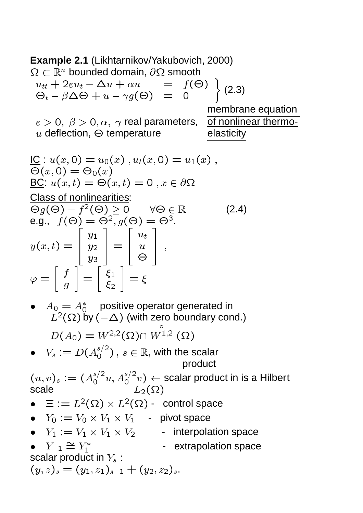**Example 2.1** (Likhtarnikov/Yakubovich, 2000)  $\Omega \subset \mathbb{R}^n$  bounded domain,  $\partial \Omega$  smooth  $u_{tt}$   $\tau$  ze $u_t$   $\tau$   $\Delta u$   $\tau$   $\alpha u$   $\sigma$   $\tau$   $\tau$   $\tau$   $\tau$  $\bigtriangledown_{t}-\beta\Delta\bigtriangledown+\mathit{u}-\gamma\mathit{g}$ (マ) — U  $\sim$   $\sim$ (2.3) membrane equation  $\varepsilon > 0$ ,  $\beta > 0$ ,  $\alpha$ ,  $\gamma$  real parameters, of nonlinear thermo $u$  deflection,  $\Theta$  temperature elasticity  $\underline{\mathsf{IC}} : u(x,0) = u_0(x)$ ,  $u_t(x,0) = u_1(x)$ ,  $\sim$  ( $\sim$ )  $\sim$  0 ( $\sim$ ) <u>BC</u>:  $u(x,t) = \Theta(x,t) = 0$ ,  $x \in \partial\Omega$ Class of nonlinearities:  $\Theta_g(\Theta) - f^2(\Theta) \geq 0 \quad \forall \Theta \in \mathbb{R}$  (2.4) e.g.,  $f(\Theta) = \Theta^2, g(\Theta) = \Theta^3$ .  $y(x, t) \rightarrow 1$ .7 T . *. .* y3  $\overline{\phantom{a}}$   $\overline{\phantom{a}}$   $\overline{\phantom{a}}$   $\overline{\phantom{a}}$  $u_{t}$ **1 s**  $\varphi =$  $\overline{\phantom{0}}$ for the contract of the contract of the contract of the contract of the contract of the contract of the contract of the contract of the contract of the contract of the contract of the contract of the contract of the contra  $-$ \_  $\overline{\phantom{0}}$ - 1 – 2 \_ <sup>=</sup> •  $A_0 = A_0^*$  positive operator generated in  $L^2(\Omega)$  by  $(-\Delta)$  (with zero boundary cond.)  $D(A_0) = W^{-,2}(\Omega)$  $VV$ <sup>-1,-</sup> (52) •  $V_s := D(A_0^{s/2})$  ,  $s \in \mathbb{R}$ , with the scalar product  $(u, v)_s := (A_0^{s/2}u, A_0^{s/2}v) \leftarrow$  scalar product in is a Hilbert scale  $L_2(\Omega)$  $\bullet$   $\Xi := L^2(\Omega) \times L^2(\Omega)$  - control space •  $Y_0 := V_0 \times V_1 \times V_1$  - pivot space •  $Y_1 := V_1 \times V_1 \times V_2$  - interpolation space  $Y_{-1} = Y_1$ - extrapolation space scalar product in  $Y_s$ :  $(y, z)_s = (y_1, z_1)_{s-1} + (y_2, z_2)_s.$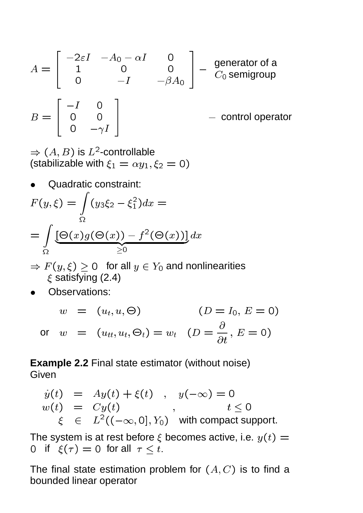$$
A = \begin{bmatrix} -2\varepsilon I & -A_0 - \alpha I & 0 \\ 1 & 0 & 0 \\ 0 & -I & -\beta A_0 \end{bmatrix} - \begin{matrix} \text{generator of a} \\ C_0 \text{ semigroup} \\ \text{Semigroup} \\ - \text{ control operator} \end{matrix}
$$

$$
B = \begin{bmatrix} -I & 0 \\ 0 & 0 \\ 0 & -\gamma I \end{bmatrix}
$$

 $\Rightarrow$   $(A, B)$  is  $L^2$ -controllable (stabilizable with  $\xi_1 = \alpha y_1, \xi_2 = 0$ )

Quadratic constraint:

$$
F(y,\xi) = \int_{\Omega} (y_3 \xi_2 - \xi_1^2) dx =
$$
  
= 
$$
\int_{\Omega} [\Theta(x) g(\Theta(x)) - f^2(\Theta(x))] dx
$$
  
  $\ge 0$ 

 $\Rightarrow F(y,\xi) \geq 0$  for all  $y \in Y_0$  and nonlinearities  $\xi$  satisfying (2.4)

Observations:

$$
w = (u_t, u, \Theta) \qquad (D = I_0, E = 0)
$$
  
or 
$$
w = (u_{tt}, u_t, \Theta_t) = w_t \quad (D = \frac{\partial}{\partial t}, E = 0)
$$

**Example 2.2** Final state estimator (without noise) **Given** 

$$
y(t) = Ay(t) + \xi(t), \quad y(-\infty) = 0
$$
  
\n
$$
w(t) = Cy(t), \quad t \le 0
$$
  
\n
$$
\xi \in L^{2}((-\infty, 0], Y_{0}) \text{ with compact support.}
$$

The system is at rest before  $\xi$  becomes active, i.e.  $y(t) =$ 0 if  $\xi(\tau) = 0$  for all  $\tau \leq t$ .

The final state estimation problem for  $(A, C)$  is to find a bounded linear operator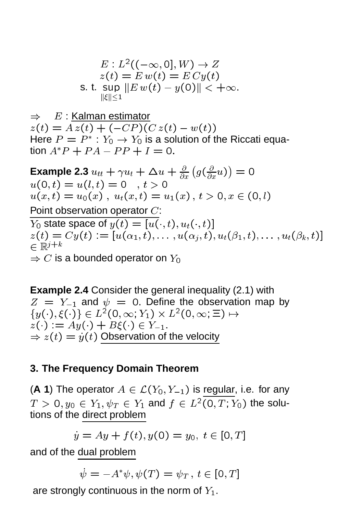$$
E: L^2((-\infty, 0], W) \to Z
$$
  
\n
$$
z(t) = E w(t) = E C y(t)
$$
  
\ns. t. sup  $||E w(t) - y(0)|| < +\infty$ .  
\n
$$
\|\xi\| \le 1
$$

 $\Rightarrow$  E : Kalman estimator  $z(t) = Az(t) + (-CP)(C z(t) - w(t))$ Here  $P = P^* : Y_0 \to Y_0$  is a solution of the Riccati equation  $A^*P + PA - PP + I = 0$ .

Example 2.3  $u_{tt} + \gamma u_t + \Delta u + \frac{\partial}{\partial x}$   $q(\frac{\partial}{\partial \theta})$  $\partial x^{\mathbf{w}}$  $\sim$   $\sim$ <sup>=</sup> <sup>0</sup>  $u(0,t) = u(l,t) = 0$ ,  $t > 0$  $u(x,t) = u_0(x)$ ,  $u_t(x,t) = u_1(x)$ ,  $t > 0, x \in (0,l)$ Point observation operator C:  $Y_0$  state space of  $y(t) = [u(\cdot, t), u_t(\cdot, t)]$  $z(t) = Cy(t) := [u(\alpha_1, t), \ldots, u(\alpha_j, t), u_t(\beta_1, t), \ldots, u_t(\beta_k, t)]$  $\in \mathbb{R}^{j+k}$  $\Rightarrow$  C is a bounded operator on  $Y_0$ 

**Example 2.4** Consider the general inequality (2.1) with  $Z = Y_{-1}$  and  $\psi = 0$ . Define the observation map by  $\{y(\cdot),\zeta(\cdot)\}\in L^{-}(\mathsf{U},\infty,1] \times L^{-}(\mathsf{U},\infty,\equiv) \mapsto$  $z(\cdot) := Ay(\cdot) + B\xi(\cdot) \in Y_{-1}.$  $\Rightarrow$   $z(t) = y(t)$  Observation of the velocity

#### **3. The Frequency Domain Theorem**

(A 1) The operator  $A \in \mathcal{L}(Y_0, Y_{-1})$  is regular, i.e. for any  $T \, > \, 0, y_0 \, \in \, Y_1, \psi_T \, \in \, Y_1$  and  $f \, \in \, L^2(0,T;Y_0)$  the solutions of the direct problem

 $\dot{y} = Ay + f(t), y(0) = y_0, t \in [0, T]$ 

and of the dual problem

$$
\dot{\psi} = -A^*\psi, \psi(T) = \psi_T, t \in [0, T]
$$

are strongly continuous in the norm of  $Y_1$ .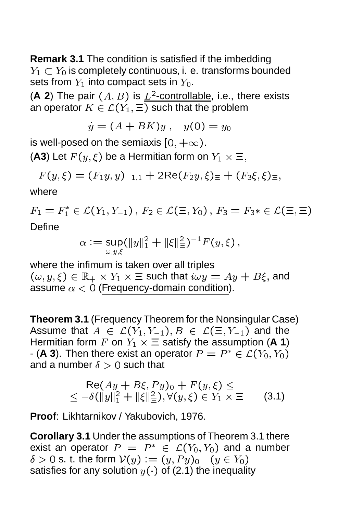**Remark 3.1** The condition is satisfied if the imbedding  $Y_1 \subset Y_0$  is completely continuous, i. e. transforms bounded sets from  $Y_1$  into compact sets in  $Y_0$ .

(A 2) The pair  $(A, B)$  is  $L^2$ -controllable, i.e., there exists an operator  $K \in \mathcal{L}(Y_1, \Xi)$  such that the problem

$$
\dot{y} = (A + BK)y \ , \quad y(0) = y_0
$$

is well-posed on the semiaxis  $[0, +\infty)$ .

(A3) Let  $F(y,\xi)$  be a Hermitian form on  $Y_1 \times \Xi$ ,

$$
F(y,\xi) = (F_1y,y)_{-1,1} + 2\text{Re}(F_2y,\xi) \equiv + (F_3\xi,\xi) \equiv,
$$

where

 $r_1 = r_1 \in \mathcal{L}(r_1, r_{-1})\,,\, r_2 \in \mathcal{L}(\equiv, r_0)\,,\, r_3 = r_3\ast \in \mathcal{L}(\equiv, \equiv)$ Define

$$
\alpha := \sup_{\omega, y, \xi} (\|y\|_1^2 + \|\xi\|_{\Xi}^2)^{-1} F(y, \xi) ,
$$

where the infimum is taken over all triples  $(\omega, y, \xi) \in \mathbb{R}_+ \times Y_1 \times \Xi$  such that  $i \omega y = Ay + B \xi$ , and assume  $\alpha < 0$  (Frequency-domain condition).

**Theorem 3.1** (Frequency Theorem for the Nonsingular Case) Assume that  $A \in \mathcal{L}(Y_1, Y_{-1}), B \in \mathcal{L}(\Xi, Y_{-1})$  and the Hermitian form F on  $Y_1 \times \Xi$  satisfy the assumption (A 1) - (**A 3**). Then there exist an operator  $P = P^* \in \mathcal{L}(Y_0, Y_0)$ and a number  $\delta > 0$  such that

$$
\text{Re}(Ay + B\xi, Py)_0 + F(y, \xi) \le \le -\delta(\|y\|_1^2 + \|\xi\|_{\equiv}^2), \forall (y, \xi) \in Y_1 \times \Xi \qquad (3.1)
$$

**Proof**: Likhtarnikov / Yakubovich, 1976.

**Corollary 3.1** Under the assumptions of Theorem 3.1 there exist an operator  $P = P^* \in \mathcal{L}(Y_0, Y_0)$  and a number  $\delta > 0$  s. t. the form  $V(y) := (y, Py)_0$   $(y \in Y_0)$ satisfies for any solution  $y(\cdot)$  of (2.1) the inequality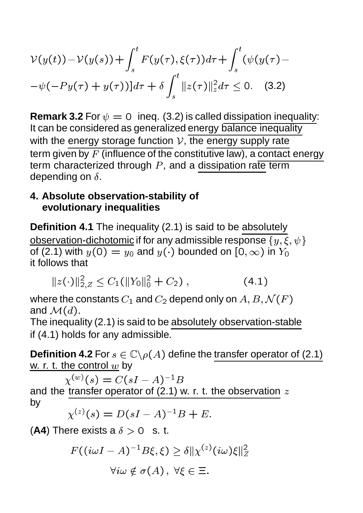$$
\mathcal{V}(y(t)) - \mathcal{V}(y(s)) + \int_s^t F(y(\tau), \xi(\tau)) d\tau + \int_s^t (\psi(y(\tau) - \psi(-Py(\tau) + y(\tau))) d\tau + \delta \int_s^t ||z(\tau)||_z^2 d\tau \leq 0. \quad (3.2)
$$

**Remark 3.2** For  $\psi = 0$  ineq. (3.2) is called dissipation inequality: It can be considered as generalized energy balance inequality with the energy storage function  $V$ , the energy supply rate term given by  $F$  (influence of the constitutive law), a contact energy term characterized through  $P$ , and a dissipation rate term depending on  $\delta$ .

#### **4. Absolute observation-stability of evolutionary inequalities**

**Definition 4.1** The inequality (2.1) is said to be absolutely observation-dichotomic if for any admissible response  $\{y, \xi, \psi\}$ of (2.1) with  $y(0) = y_0$  and  $y(\cdot)$  bounded on  $[0,\infty)$  in  $Y_0$ it follows that

$$
||z(\cdot)||_{2,Z}^2 \le C_1(||Y_0||_0^2 + C_2), \qquad (4.1)
$$

where the constants  $C_1$  and  $C_2$  depend only on  $A, B, \mathcal{N}(F)$ and  $\mathcal{M}(d)$ .

The inequality (2.1) is said to be absolutely observation-stable if (4.1) holds for any admissible.

**Definition 4.2** For  $s \in \mathbb{C} \backslash \rho(A)$  define the transfer operator of (2.1) w. r. t. the control  $w$  by

 $\chi^{(w)}(s) = C(sI - A)^{-1}B$ and the transfer operator of  $(2.1)$  w. r. t. the observation  $z$ by

$$
\chi^{(z)}(s) = D(sI - A)^{-1}B + E.
$$

(A4) There exists a  $\delta > 0$  s. t.

$$
F((i\omega I - A)^{-1}B\xi, \xi) \ge \delta ||\chi^{(z)}(i\omega)\xi||_Z^2
$$
  

$$
\forall i\omega \notin \sigma(A), \ \forall \xi \in \Xi.
$$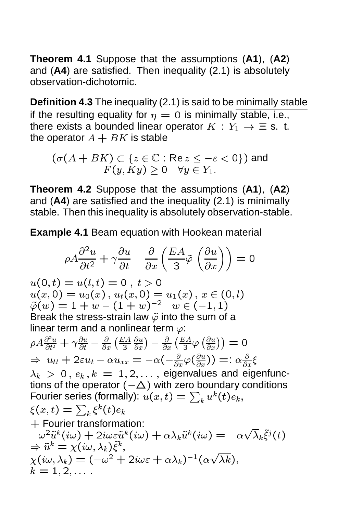**Theorem 4.1** Suppose that the assumptions (**A1**), (**A2**) and (**A4**) are satisfied. Then inequality (2.1) is absolutely observation-dichotomic.

**Definition 4.3** The inequality (2.1) is said to be minimally stable if the resulting equality for  $\eta = 0$  is minimally stable, i.e., there exists a bounded linear operator  $K : Y_1 \to \Xi$  s. t. the operator  $A + BK$  is stable

$$
(\sigma(A+BK) \subset \{z \in \mathbb{C} : \text{Re } z \leq -\varepsilon < 0\}) \text{ and }
$$
  

$$
F(y, Ky) \geq 0 \quad \forall y \in Y_1.
$$

**Theorem 4.2** Suppose that the assumptions (**A1**), (**A2**) and (**A4**) are satisfied and the inequality (2.1) is minimally stable. Then this inequality is absolutely observation-stable.

**Example 4.1** Beam equation with Hookean material

$$
\rho A \frac{\partial^2 u}{\partial t^2} + \gamma \frac{\partial u}{\partial t} - \frac{\partial}{\partial x} \left( \frac{EA}{3} \tilde{\varphi} \left( \frac{\partial u}{\partial x} \right) \right) = 0
$$

 $u(0,t) = u(l,t) = 0$ ,  $t > 0$  $u(x, 0) = u_0(x), u_t(x, 0) = u_1(x), x \in (0, l)$  $\tilde{\varphi}(w) = 1 + w - (1 + w)^{-2} \quad w \in (-1, 1)$ Break the stress-strain law  $\tilde{\varphi}$  into the sum of a linear term and a nonlinear term  $\varphi$ :  $\rho A \frac{\partial^2 u}{\partial t^2} + \gamma \frac{\partial u}{\partial t} - \frac{\partial}{\partial x}$  $E_A \partial u$  $\overline{\phantom{a}}$  $\partial x$  $\big)-\frac{\partial}{\partial x}$  EA  $\frac{\partial A}{\partial 3} \varphi \left( \frac{\partial u}{\partial x} \right)$  $\partial x$  $\sim$  $\Rightarrow u_{tt} + 2\varepsilon u_t - \alpha u_{xx} = -\alpha(-\frac{\partial}{\partial x}\varphi)$  $(\frac{\partial u}{\partial x}) ) =: \alpha \frac{\partial}{\partial x} \xi$  $\lambda_k > 0, e_k, k = 1, 2, \ldots$ , eigenvalues and eigenfunctions of the operator  $(-\Delta)$  with zero boundary conditions Fourier series (formally):  $u(x,t)=\sum_k u^k(t)e_k,$  $\xi(x,t)=\sum_k \xi^k(t)e_k$ <sup>+</sup> Fourier transformation:  $-\omega^2\tilde{u}^k(i\omega) + 2i\omega\varepsilon\tilde{u}^k(i\omega) + \alpha\lambda_k\tilde{u}^k(i\omega) = -\alpha$  $\sqrt{\lambda_k} \tilde{\xi}^j(t)$  $\Rightarrow \tilde{u}^k = \chi(i\omega, \lambda_k) \tilde{\xi}^k,$  $\chi(i\omega, \lambda_k) = (-\omega^- + 2i\omega\epsilon + \alpha\lambda_k)$  (  $\alpha$ <u>provided and the second second and the second second in the second second second in the second second in the second second in the second second in the second second in the second second second in the second second second </u> k);  $k = 1, 2, \ldots$ :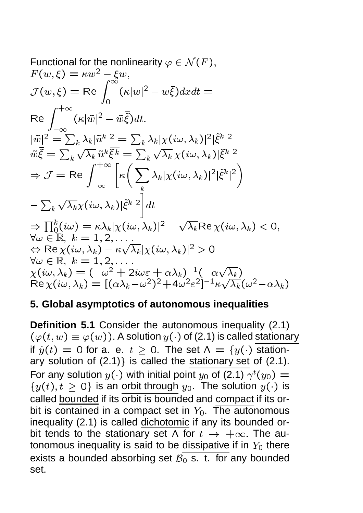Functional for the nonlinearity 
$$
\varphi \in \mathcal{N}(F)
$$
,  
\n $F(w, \xi) = \kappa w^2 - \xi w$ ,  
\n $\mathcal{J}(w, \xi) = \text{Re} \int_0^{\infty} (\kappa |w|^2 - w\xi) dx dt =$   
\n $\text{Re} \int_{-\infty}^{+\infty} (\kappa |\tilde{w}|^2 - \tilde{w}\tilde{\xi}) dt$ .  
\n $|\tilde{w}|^2 = \sum_k \lambda_k |\tilde{u}^k|^2 = \sum_k \lambda_k |\chi(i\omega, \lambda_k)|^2 |\tilde{\xi}^k|^2$   
\n $\tilde{w}\tilde{\xi} = \sum_k \sqrt{\lambda_k} \tilde{u}^k \tilde{\xi}^k = \sum_k \sqrt{\lambda_k} \chi(i\omega, \lambda_k) |\tilde{\xi}^k|^2$   
\n $\Rightarrow \mathcal{J} = \text{Re} \int_{-\infty}^{+\infty} \left[ \kappa \left( \sum_k \lambda_k |\chi(i\omega, \lambda_k)|^2 |\tilde{\xi}^k|^2 \right) - \sum_k \sqrt{\lambda_k} \chi(i\omega, \lambda_k) |\tilde{\xi}^k|^2 \right]$   
\n $= \sum_k \sqrt{\lambda_k} \chi(i\omega, \lambda_k) |\tilde{\xi}^k|^2 dt$   
\n $\Rightarrow \prod_0^k (i\omega) = \kappa \lambda_k |\chi(i\omega, \lambda_k)|^2 - \sqrt{\lambda_k} \text{Re} \chi(i\omega, \lambda_k) < 0$ ,  
\n $\forall \omega \in \mathbb{R}, k = 1, 2, ...$   
\n $\Leftrightarrow \text{Re} \chi(i\omega, \lambda_k) - \kappa \sqrt{\lambda_k} |\chi(i\omega, \lambda_k)|^2 > 0$   
\n $\forall \omega \in \mathbb{R}, k = 1, 2, ...$   
\n $\chi(i\omega, \lambda_k) = (-\omega^2 + 2i\omega \varepsilon + \alpha \lambda_k)^{-1} (-\alpha \sqrt{\lambda_k})$   
\n $\text{Re} \chi(i\omega, \lambda_k) = [(\alpha \lambda_k - \omega^2)^2 + 4\omega^2 \varepsilon^2]^{-1} \kappa \sqrt{\lambda_k} (\omega^2 - \alpha \lambda_k)$ 

#### **5. Global asymptotics of autonomous inequalities**

**Definition 5.1** Consider the autonomous inequality (2.1)  $(\varphi(t, w) \equiv \varphi(w))$ . A solution  $y(\cdot)$  of (2.1) is called stationary if  $y(t) = 0$  for a. e.  $t \ge 0$ . The set  $\Lambda = \{y(\cdot)\}$  stationary solution of  $(2.1)$  is called the stationary set of  $(2.1)$ . For any solution  $y(\cdot)$  with initial point  $y_0$  of (2.1)  $\gamma^t(y_0) =$  $\{y(t), t \geq 0\}$  is an orbit through  $y_0$ . The solution  $y(\cdot)$  is called bounded if its orbit is bounded and compact if its orbit is contained in a compact set in  $Y_0$ . The autonomous inequality (2.1) is called dichotomic if any its bounded orbit tends to the stationary set  $\wedge$  for  $t \rightarrow +\infty$ . The autonomous inequality is said to be dissipative if in  $Y_0$  there exists a bounded absorbing set  $\overline{B_0}$  s. t. for any bounded set.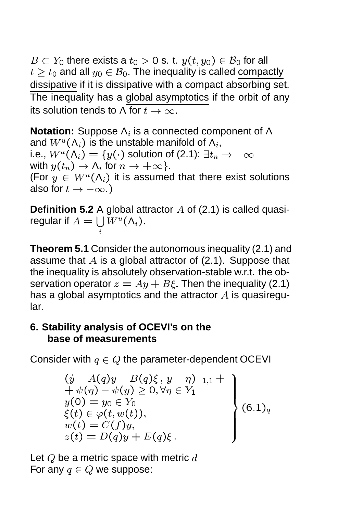$B \subset Y_0$  there exists a  $t_0 > 0$  s. t.  $y(t, y_0) \in \mathcal{B}_0$  for all  $t \ge t_0$  and all  $y_0 \in \mathcal{B}_0$ . The inequality is called compactly dissipative if it is dissipative with a compact absorbing set. The inequality has a global asymptotics if the orbit of any its solution tends to  $\wedge$  for  $t \to \infty$ .

**Notation:** Suppose  $\Lambda_i$  is a connected component of  $\Lambda$ and  $W^u(\mathsf{\Lambda}_i)$  is the unstable manifold of  $\mathsf{\Lambda}_i,$ i.e.,  $W^u(\mathsf{\Lambda}_i)=\{y(\cdot)$  solution of (2.1):  $\exists t_n\to -\infty$ with  $y(t_n) \to \Lambda_i$  for  $n \to +\infty$ . (For  $y \in W^u(\Lambda_i)$  it is assumed that there exist solutions also for  $t \to -\infty$ .)

**Definition 5.2** A global attractor A of (2.1) is called quasiregular if  $A = \bigcup W^u(\Lambda_i)$ . i

**Theorem 5.1** Consider the autonomous inequality (2.1) and assume that  $A$  is a global attractor of (2.1). Suppose that the inequality is absolutely observation-stable w.r.t. the observation operator  $z = Ay + B\xi$ . Then the inequality (2.1) has a global asymptotics and the attractor  $A$  is quasiregular.

### **6. Stability analysis of OCEVI's on the base of measurements**

Consider with  $q \in Q$  the parameter-dependent OCEVI

$$
(y - A(q)y - B(q)\xi, y - \eta)_{-1,1} ++ \psi(\eta) - \psi(y) \ge 0, \forall \eta \in Y_1y(0) = y_0 \in Y_0\xi(t) \in \varphi(t, w(t)),w(t) = C(f)y,z(t) = D(q)y + E(q)\xi.
$$
\n(6.1)

Let  $Q$  be a metric space with metric  $d$ For any  $q \in Q$  we suppose: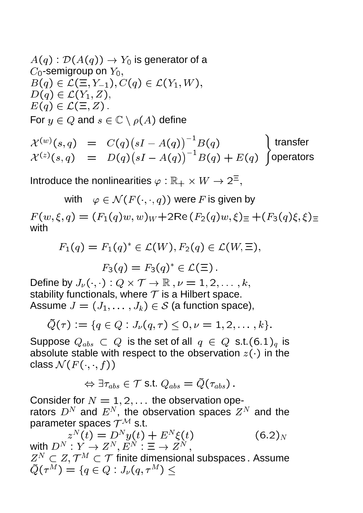$$
A(q) : \mathcal{D}(A(q)) \to Y_0 \text{ is generator of a}
$$
  
C\_0-semigroup on  $Y_0$ ,  
 $B(q) \in \mathcal{L}(\Xi, Y_{-1}), C(q) \in \mathcal{L}(Y_1, W)$ ,  
 $D(q) \in \mathcal{L}(Y_1, Z)$ ,  
 $E(q) \in \mathcal{L}(\Xi, Z)$ .  
For  $y \in Q$  and  $s \in \mathbb{C} \setminus \rho(A)$  define

$$
\mathcal{X}^{(w)}(s,q) = C(q)(sI - A(q))^{-1}B(q)
$$
 transfer  

$$
\mathcal{X}^{(z)}(s,q) = D(q)(sI - A(q))^{-1}B(q) + E(q)
$$
 (operators

)

Introduce the nonlinearities  $\varphi : \mathbb{R}_+ \times W \to 2^{\Xi},$ 

with  $\varphi \in \mathcal{N}(F(\cdot,\cdot,q))$  were F is given by  $F(w, \xi, q) = (F_1(q)w, w)_W + 2\text{Re}(F_2(q)w, \xi) = (F_3(q)\xi, \xi)$ with

$$
F_1(q) = F_1(q)^* \in \mathcal{L}(W), F_2(q) \in \mathcal{L}(W, \Xi),
$$
  

$$
F_3(q) = F_3(q)^* \in \mathcal{L}(\Xi).
$$

Define by  $J_\nu(\cdot,\cdot): Q\times {\mathcal T}\to {\mathbb R} \ , \nu=1,2,\ldots, k,$ stability functionals, where  $T$  is a Hilbert space. Assume  $J = (J_1, \ldots, J_k) \in S$  (a function space),

$$
\tilde{Q}(\tau) := \{q \in Q : J_{\nu}(q, \tau) \leq 0, \nu = 1, 2, \ldots, k\}.
$$

Suppose  $Q_{abs} \subset Q$  is the set of all  $q \in Q$  s.t. $(6.1)_q$  is absolute stable with respect to the observation  $z(\cdot)$  in the class  $\mathcal{N}(F(\cdot,\cdot,f))$ 

$$
\Leftrightarrow \exists \tau_{abs} \in \mathcal{T} \text{ s.t. } Q_{abs} = \tilde{Q}(\tau_{abs}) \,.
$$

Consider for  $N = 1, 2, \ldots$  the observation operators  $D^N$  and  $E^N$ , the observation spaces  $Z^N$  and the parameter spaces  $\mathcal{T}^{\mathcal{M}}$  s.t.

$$
z^N(t) = D^N y(t) + E^N \xi(t)
$$
  
with 
$$
D^N: Y \to Z^N, E^N: \Xi \to Z^N,
$$
 (6.2)

 $Z^N\subset Z, \mathcal{T}^M\subset \mathcal{T}$  finite dimensional subspaces . Assume  $\tilde{Q}(\tau^M) = \{q \in Q : J_{\nu}(q, \tau^M) \leq$